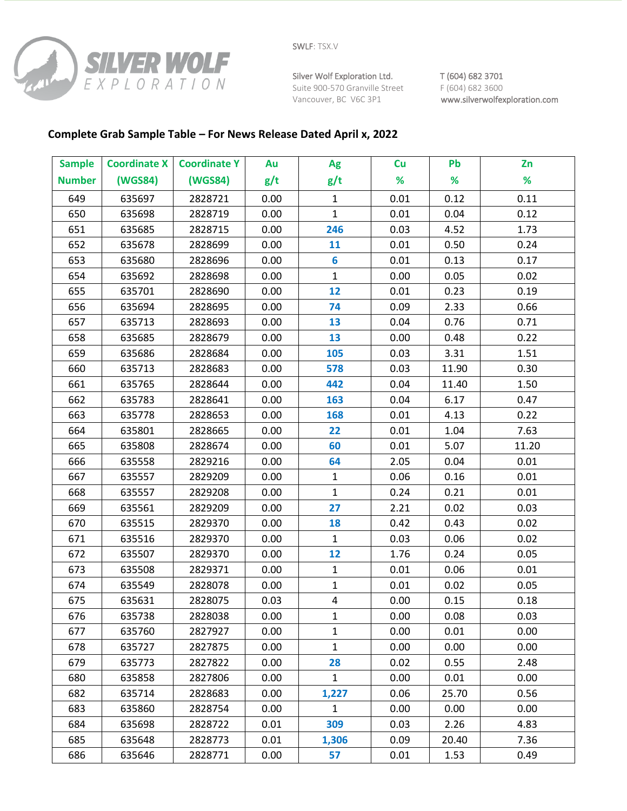

Silver Wolf Exploration Ltd. T (604) 682 3701 Suite 900-570 Granville Street F (604) 682 3600

Vancouver, BC V6C 3P1 www.silverwolfexploration.com

## **Complete Grab Sample Table – For News Release Dated April x, 2022**

| <b>Sample</b> | <b>Coordinate X</b> | <b>Coordinate Y</b> | Au   | Ag           | Cu   | Pb    | Zn    |
|---------------|---------------------|---------------------|------|--------------|------|-------|-------|
| <b>Number</b> | (WGS84)             | (WGS84)             | g/t  | g/t          | %    | %     | %     |
| 649           | 635697              | 2828721             | 0.00 | $\mathbf{1}$ | 0.01 | 0.12  | 0.11  |
| 650           | 635698              | 2828719             | 0.00 | $\mathbf{1}$ | 0.01 | 0.04  | 0.12  |
| 651           | 635685              | 2828715             | 0.00 | 246          | 0.03 | 4.52  | 1.73  |
| 652           | 635678              | 2828699             | 0.00 | 11           | 0.01 | 0.50  | 0.24  |
| 653           | 635680              | 2828696             | 0.00 | 6            | 0.01 | 0.13  | 0.17  |
| 654           | 635692              | 2828698             | 0.00 | $\mathbf{1}$ | 0.00 | 0.05  | 0.02  |
| 655           | 635701              | 2828690             | 0.00 | 12           | 0.01 | 0.23  | 0.19  |
| 656           | 635694              | 2828695             | 0.00 | 74           | 0.09 | 2.33  | 0.66  |
| 657           | 635713              | 2828693             | 0.00 | 13           | 0.04 | 0.76  | 0.71  |
| 658           | 635685              | 2828679             | 0.00 | 13           | 0.00 | 0.48  | 0.22  |
| 659           | 635686              | 2828684             | 0.00 | 105          | 0.03 | 3.31  | 1.51  |
| 660           | 635713              | 2828683             | 0.00 | 578          | 0.03 | 11.90 | 0.30  |
| 661           | 635765              | 2828644             | 0.00 | 442          | 0.04 | 11.40 | 1.50  |
| 662           | 635783              | 2828641             | 0.00 | 163          | 0.04 | 6.17  | 0.47  |
| 663           | 635778              | 2828653             | 0.00 | 168          | 0.01 | 4.13  | 0.22  |
| 664           | 635801              | 2828665             | 0.00 | 22           | 0.01 | 1.04  | 7.63  |
| 665           | 635808              | 2828674             | 0.00 | 60           | 0.01 | 5.07  | 11.20 |
| 666           | 635558              | 2829216             | 0.00 | 64           | 2.05 | 0.04  | 0.01  |
| 667           | 635557              | 2829209             | 0.00 | $\mathbf{1}$ | 0.06 | 0.16  | 0.01  |
| 668           | 635557              | 2829208             | 0.00 | $\mathbf{1}$ | 0.24 | 0.21  | 0.01  |
| 669           | 635561              | 2829209             | 0.00 | 27           | 2.21 | 0.02  | 0.03  |
| 670           | 635515              | 2829370             | 0.00 | 18           | 0.42 | 0.43  | 0.02  |
| 671           | 635516              | 2829370             | 0.00 | $\mathbf{1}$ | 0.03 | 0.06  | 0.02  |
| 672           | 635507              | 2829370             | 0.00 | 12           | 1.76 | 0.24  | 0.05  |
| 673           | 635508              | 2829371             | 0.00 | $\mathbf{1}$ | 0.01 | 0.06  | 0.01  |
| 674           | 635549              | 2828078             | 0.00 | $\mathbf{1}$ | 0.01 | 0.02  | 0.05  |
| 675           | 635631              | 2828075             | 0.03 | $\pmb{4}$    | 0.00 | 0.15  | 0.18  |
| 676           | 635738              | 2828038             | 0.00 | 1            | 0.00 | 0.08  | 0.03  |
| 677           | 635760              | 2827927             | 0.00 | $\mathbf{1}$ | 0.00 | 0.01  | 0.00  |
| 678           | 635727              | 2827875             | 0.00 | $\mathbf 1$  | 0.00 | 0.00  | 0.00  |
| 679           | 635773              | 2827822             | 0.00 | 28           | 0.02 | 0.55  | 2.48  |
| 680           | 635858              | 2827806             | 0.00 | $\mathbf{1}$ | 0.00 | 0.01  | 0.00  |
| 682           | 635714              | 2828683             | 0.00 | 1,227        | 0.06 | 25.70 | 0.56  |
| 683           | 635860              | 2828754             | 0.00 | $\mathbf{1}$ | 0.00 | 0.00  | 0.00  |
| 684           | 635698              | 2828722             | 0.01 | 309          | 0.03 | 2.26  | 4.83  |
| 685           | 635648              | 2828773             | 0.01 | 1,306        | 0.09 | 20.40 | 7.36  |
| 686           | 635646              | 2828771             | 0.00 | 57           | 0.01 | 1.53  | 0.49  |